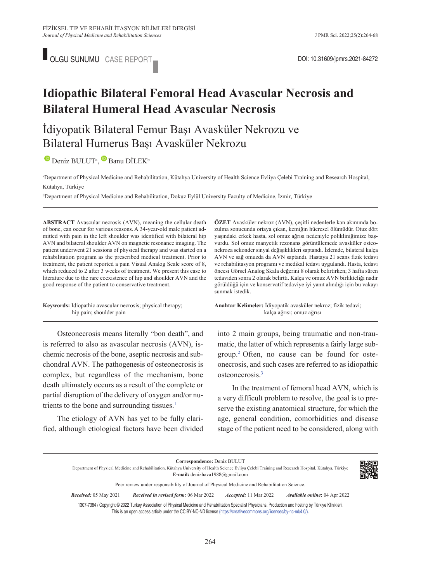

## **Idiopathic Bilateral Femoral Head Avascular Necrosis and Bilateral Humeral Head Avascular Necrosis**

### İdiyopatik Bilateral Femur Başı Avasküler Nekrozu ve Bilateral Humerus Başı Avasküler Nekrozu

 $\bullet$ Deniz BULUT<sup>a</sup>,  $\bullet$  Banu DİLEK<sup>b</sup>

a Department of Physical Medicine and Rehabilitation, Kütahya University of Health Science Evliya Çelebi Training and Research Hospital, Kütahya, Türkiye

b Department of Physical Medicine and Rehabilitation, Dokuz Eylül University Faculty of Medicine, İzmir, Türkiye

**ABS TRACT** Avascular necrosis (AVN), meaning the cellular death of bone, can occur for various reasons. A 34-year-old male patient admitted with pain in the left shoulder was identified with bilateral hip AVN and bilateral shoulder AVN on magnetic resonance imaging. The patient underwent 21 sessions of physical therapy and was started on a rehabilitation program as the prescribed medical treatment. Prior to treatment, the patient reported a pain Visual Analog Scale score of 8, which reduced to 2 after 3 weeks of treatment. We present this case to literature due to the rare coexistence of hip and shoulder AVN and the good response of the patient to conservative treatment.

**Keywords:** Idiopathic avascular necrosis; physical therapy; hip pain; shoulder pain

zulma sonucunda ortaya çıkan, kemiğin hücresel ölümüdür. Otuz dört yaşındaki erkek hasta, sol omuz ağrısı nedeniyle polikliniğimize başvurdu. Sol omuz manyetik rezonans görüntülemede avasküler osteonekroza sekonder sinyal değişiklikleri saptandı. İzlemde, bilateral kalça AVN ve sağ omuzda da AVN saptandı. Hastaya 21 seans fizik tedavi ve rehabilitasyon programı ve medikal tedavi uygulandı. Hasta, tedavi öncesi Görsel Analog Skala değerini 8 olarak belirtirken; 3 hafta süren tedaviden sonra 2 olarak belirtti. Kalça ve omuz AVN birlikteliği nadir görüldüğü için ve konservatif tedaviye iyi yanıt alındığı için bu vakayı sunmak istedik.

**ÖZET** Avasküler nekroz (AVN), çeşitli nedenlerle kan akımında bo-

Anahtar Kelimeler: İdiyopatik avasküler nekroz; fizik tedavi; kalça ağrısı; omuz ağrısı

Osteonecrosis means literally "bon death", and is referred to also as avascular necrosis (AVN), ischemic necrosis of the bone, aseptic necrosis and subchondral AVN. The pathogenesis of osteonecrosis is complex, but regardless of the mechanism, bone death ultimately occurs as a result of the complete or partial disruption of the delivery of oxygen and/or nutrients to the bone and surrounding tissues.<sup>1</sup>

The etiology of AVN has yet to be fully clarified, although etiological factors have been divided into 2 main groups, being traumatic and non-traumatic, the latter of which represents a fairly large subgroup[.2](#page-4-0) Often, no cause can be found for osteonecrosis, and such cases are referred to as idiopathic osteonecrosis[.3](#page-4-0)

In the treatment of femoral head AVN, which is a very difficult problem to resolve, the goal is to preserve the existing anatomical structure, for which the age, general condition, comorbidities and disease stage of the patient need to be considered, along with

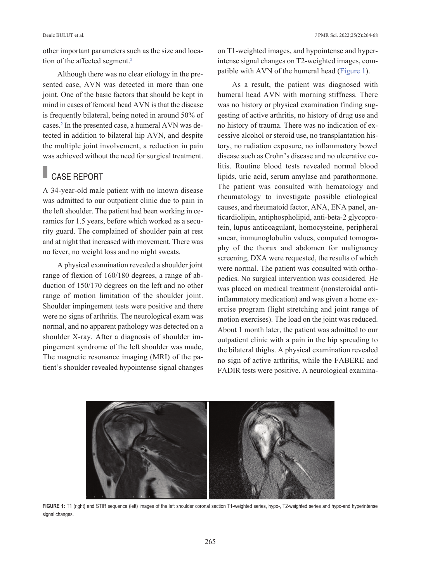other important parameters such as the size and location of the affected segment.<sup>2</sup>

Although there was no clear etiology in the presented case, AVN was detected in more than one joint. One of the basic factors that should be kept in mind in cases of femoral head AVN is that the disease is frequently bilateral, being noted in around 50% of cases[.2](#page-4-0) In the presented case, a humeral AVN was detected in addition to bilateral hip AVN, and despite the multiple joint involvement, a reduction in pain was achieved without the need for surgical treatment.

# CASE REPORT

A 34-year-old male patient with no known disease was admitted to our outpatient clinic due to pain in the left shoulder. The patient had been working in ceramics for 1.5 years, before which worked as a security guard. The complained of shoulder pain at rest and at night that increased with movement. There was no fever, no weight loss and no night sweats.

A physical examination revealed a shoulder joint range of flexion of 160/180 degrees, a range of abduction of 150/170 degrees on the left and no other range of motion limitation of the shoulder joint. Shoulder impingement tests were positive and there were no signs of arthritis. The neurological exam was normal, and no apparent pathology was detected on a shoulder X-ray. After a diagnosis of shoulder impingement syndrome of the left shoulder was made, The magnetic resonance imaging (MRI) of the patient's shoulder revealed hypointense signal changes on T1-weighted images, and hypointense and hyperintense signal changes on T2-weighted images, compatible with AVN of the humeral head [\(Figure 1\)](#page-1-0).

<span id="page-1-0"></span>As a result, the patient was diagnosed with humeral head AVN with morning stiffness. There was no history or physical examination finding suggesting of active arthritis, no history of drug use and no history of trauma. There was no indication of excessive alcohol or steroid use, no transplantation history, no radiation exposure, no inflammatory bowel disease such as Crohn's disease and no ulcerative colitis. Routine blood tests revealed normal blood lipids, uric acid, serum amylase and parathormone. The patient was consulted with hematology and rheumatology to investigate possible etiological causes, and rheumatoid factor, ANA, ENA panel, anticardiolipin, antiphospholipid, anti-beta-2 glycoprotein, lupus anticoagulant, homocysteine, peripheral smear, immunoglobulin values, computed tomography of the thorax and abdomen for malignancy screening, DXA were requested, the results of which were normal. The patient was consulted with orthopedics. No surgical intervention was considered. He was placed on medical treatment (nonsteroidal antiinflammatory medication) and was given a home exercise program (light stretching and joint range of motion exercises). The load on the joint was reduced. About 1 month later, the patient was admitted to our outpatient clinic with a pain in the hip spreading to the bilateral thighs. A physical examination revealed no sign of active arthritis, while the FABERE and FADIR tests were positive. A neurological examina-



**FIGURE 1:** T1 (right) and STIR sequence (left) images of the left shoulder coronal section T1-weighted series, hypo-, T2-weighted series and hypo-and hyperintense signal changes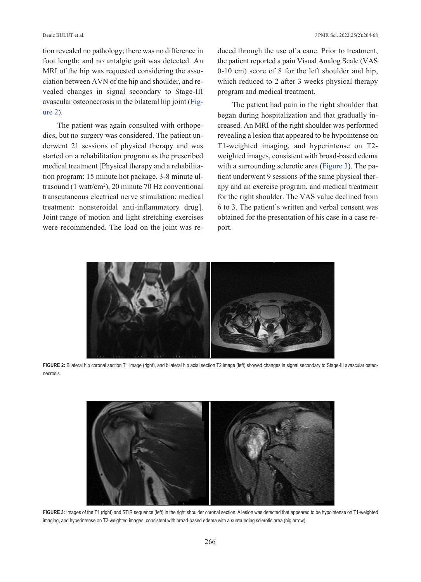tion revealed no pathology; there was no difference in foot length; and no antalgic gait was detected. An MRI of the hip was requested considering the association between AVN of the hip and shoulder, and revealed changes in signal secondary to Stage-III avascular osteonecrosis in the bilateral hip joint [\(Fig](#page-2-0)[ure 2\)](#page-2-0).

The patient was again consulted with orthopedics, but no surgery was considered. The patient underwent 21 sessions of physical therapy and was started on a rehabilitation program as the prescribed medical treatment [Physical therapy and a rehabilitation program: 15 minute hot package, 3-8 minute ultrasound  $(1 \text{ watt/cm}^2)$ , 20 minute 70 Hz conventional transcutaneous electrical nerve stimulation; medical treatment: nonsteroidal anti-inflammatory drug]. Joint range of motion and light stretching exercises were recommended. The load on the joint was reduced through the use of a cane. Prior to treatment, the patient reported a pain Visual Analog Scale (VAS 0-10 cm) score of 8 for the left shoulder and hip, which reduced to 2 after 3 weeks physical therapy program and medical treatment.

<span id="page-2-0"></span>The patient had pain in the right shoulder that began during hospitalization and that gradually increased. An MRI of the right shoulder was performed revealing a lesion that appeared to be hypointense on T1-weighted imaging, and hyperintense on T2 weighted images, consistent with broad-based edema with a surrounding sclerotic area [\(Figure 3\)](#page-2-1). The patient underwent 9 sessions of the same physical therapy and an exercise program, and medical treatment for the right shoulder. The VAS value declined from 6 to 3. The patient's written and verbal consent was obtained for the presentation of his case in a case report.



**FIGURE 2:** Bilateral hip coronal section T1 image (right), and bilateral hip axial section T2 image (left) showed changes in signal secondary to Stage-III avascular osteonecrosis.

<span id="page-2-1"></span>

**FIGURE 3:** Images of the T1 (right) and STIR sequence (left) in the right shoulder coronal section. A lesion was detected that appeared to be hypointense on T1-weighted imaging, and hyperintense on T2-weighted images, consistent with broad-based edema with a surrounding sclerotic area (big arrow).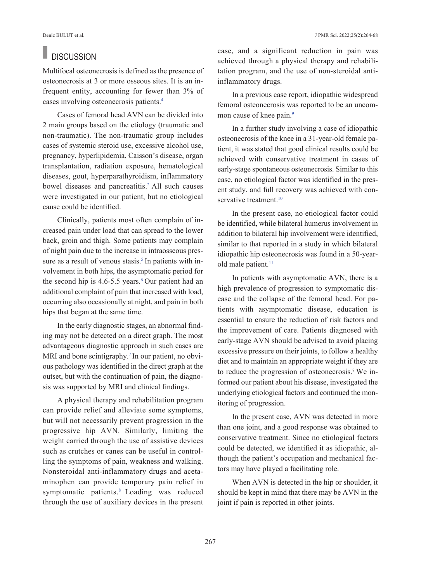#### **DISCUSSION**

Multifocal osteonecrosis is defined as the presence of osteonecrosis at 3 or more osseous sites. It is an infrequent entity, accounting for fewer than 3% of cases involving osteonecrosis patients[.4](#page-4-0)

Cases of femoral head AVN can be divided into 2 main groups based on the etiology (traumatic and non-traumatic). The non-traumatic group includes cases of systemic steroid use, excessive alcohol use, pregnancy, hyperlipidemia, Caisson's disease, organ transplantation, radiation exposure, hematological diseases, gout, hyperparathyroidism, inflammatory bowel diseases and pancreatitis.<sup>2</sup> All such causes were investigated in our patient, but no etiological cause could be identified.

Clinically, patients most often complain of increased pain under load that can spread to the lower back, groin and thigh. Some patients may complain of night pain due to the increase in intraosseous pressure as a result of venous stasis.<sup>5</sup> In patients with involvement in both hips, the asymptomatic period for the second hip is  $4.6 - 5.5$  $4.6 - 5.5$  $4.6 - 5.5$  years.<sup>6</sup> Our patient had an additional complaint of pain that increased with load, occurring also occasionally at night, and pain in both hips that began at the same time.

In the early diagnostic stages, an abnormal finding may not be detected on a direct graph. The most advantageous diagnostic approach in such cases are MRI and bone scintigraphy.<sup>7</sup> In our patient, no obvious pathology was identified in the direct graph at the outset, but with the continuation of pain, the diagnosis was supported by MRI and clinical findings.

A physical therapy and rehabilitation program can provide relief and alleviate some symptoms, but will not necessarily prevent progression in the progressive hip AVN. Similarly, limiting the weight carried through the use of assistive devices such as crutches or canes can be useful in controlling the symptoms of pain, weakness and walking. Nonsteroidal anti-inflammatory drugs and acetaminophen can provide temporary pain relief in symptomatic patients[.8](#page-4-0) Loading was reduced through the use of auxiliary devices in the present case, and a significant reduction in pain was achieved through a physical therapy and rehabilitation program, and the use of non-steroidal antiinflammatory drugs.

In a previous case report, idiopathic widespread femoral osteonecrosis was reported to be an uncommon cause of knee pain.<sup>9</sup>

In a further study involving a case of idiopathic osteonecrosis of the knee in a 31-year-old female patient, it was stated that good clinical results could be achieved with conservative treatment in cases of early-stage spontaneous osteonecrosis. Similar to this case, no etiological factor was identified in the present study, and full recovery was achieved with conservative treatment.<sup>10</sup>

In the present case, no etiological factor could be identified, while bilateral humerus involvement in addition to bilateral hip involvement were identified, similar to that reported in a study in which bilateral idiopathic hip osteonecrosis was found in a 50-yearold male patient.<sup>11</sup>

In patients with asymptomatic AVN, there is a high prevalence of progression to symptomatic disease and the collapse of the femoral head. For patients with asymptomatic disease, education is essential to ensure the reduction of risk factors and the improvement of care. Patients diagnosed with early-stage AVN should be advised to avoid placing excessive pressure on their joints, to follow a healthy diet and to maintain an appropriate weight if they are to reduce the progression of osteonecrosis.<sup>8</sup> We informed our patient about his disease, investigated the underlying etiological factors and continued the monitoring of progression.

In the present case, AVN was detected in more than one joint, and a good response was obtained to conservative treatment. Since no etiological factors could be detected, we identified it as idiopathic, although the patient's occupation and mechanical factors may have played a facilitating role.

When AVN is detected in the hip or shoulder, it should be kept in mind that there may be AVN in the joint if pain is reported in other joints.